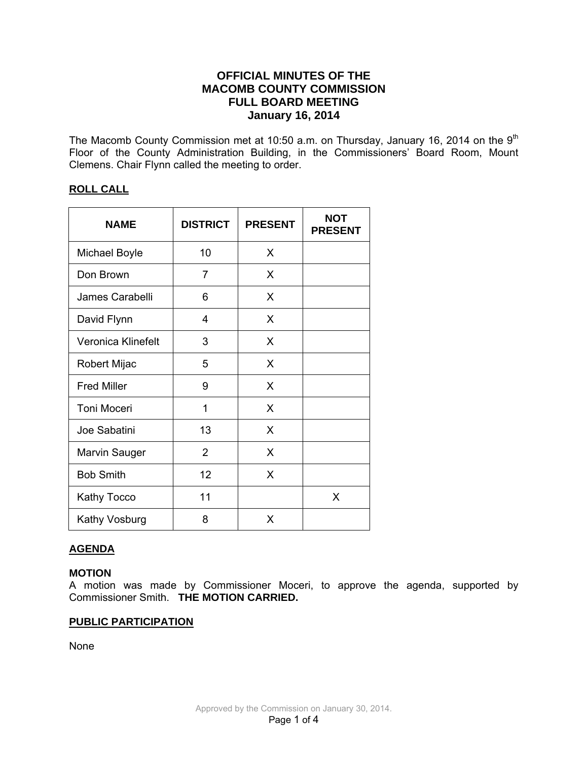# **OFFICIAL MINUTES OF THE MACOMB COUNTY COMMISSION FULL BOARD MEETING January 16, 2014**

The Macomb County Commission met at 10:50 a.m. on Thursday, January 16, 2014 on the  $9<sup>th</sup>$ Floor of the County Administration Building, in the Commissioners' Board Room, Mount Clemens. Chair Flynn called the meeting to order.

# **ROLL CALL**

| <b>NAME</b>          | <b>DISTRICT</b> | <b>PRESENT</b> | <b>NOT</b><br><b>PRESENT</b> |
|----------------------|-----------------|----------------|------------------------------|
| <b>Michael Boyle</b> | 10              | X              |                              |
| Don Brown            | 7               | X              |                              |
| James Carabelli      | 6               | X              |                              |
| David Flynn          | 4               | X              |                              |
| Veronica Klinefelt   | 3               | X              |                              |
| Robert Mijac         | 5               | X              |                              |
| <b>Fred Miller</b>   | 9               | X              |                              |
| Toni Moceri          | 1               | X              |                              |
| Joe Sabatini         | 13              | X              |                              |
| Marvin Sauger        | $\overline{2}$  | X              |                              |
| <b>Bob Smith</b>     | 12              | X              |                              |
| <b>Kathy Tocco</b>   | 11              |                | X                            |
| Kathy Vosburg        | 8               | X              |                              |

# **AGENDA**

# **MOTION**

A motion was made by Commissioner Moceri, to approve the agenda, supported by Commissioner Smith. **THE MOTION CARRIED.** 

# **PUBLIC PARTICIPATION**

None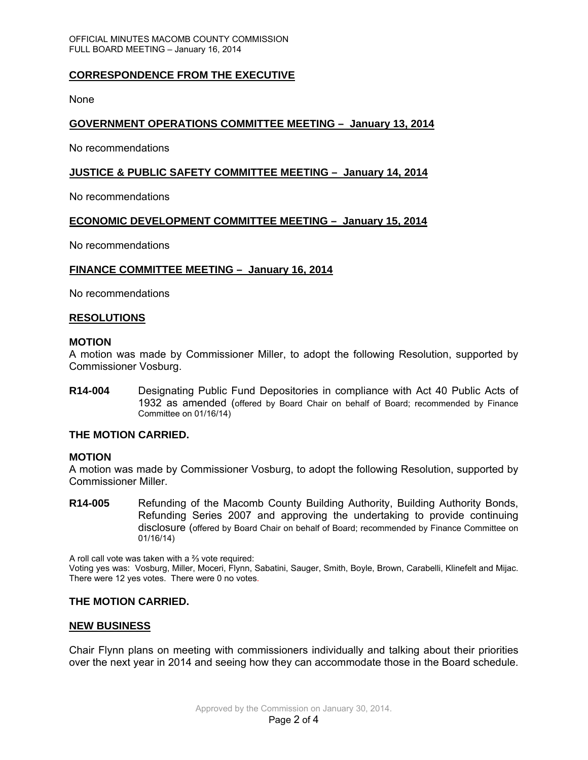# **CORRESPONDENCE FROM THE EXECUTIVE**

None

## **GOVERNMENT OPERATIONS COMMITTEE MEETING – January 13, 2014**

No recommendations

### **JUSTICE & PUBLIC SAFETY COMMITTEE MEETING – January 14, 2014**

No recommendations

### **ECONOMIC DEVELOPMENT COMMITTEE MEETING – January 15, 2014**

No recommendations

#### **FINANCE COMMITTEE MEETING – January 16, 2014**

No recommendations

#### **RESOLUTIONS**

#### **MOTION**

A motion was made by Commissioner Miller, to adopt the following Resolution, supported by Commissioner Vosburg.

**R14-004** Designating Public Fund Depositories in compliance with Act 40 Public Acts of 1932 as amended (offered by Board Chair on behalf of Board; recommended by Finance Committee on 01/16/14)

### **THE MOTION CARRIED.**

#### **MOTION**

A motion was made by Commissioner Vosburg, to adopt the following Resolution, supported by Commissioner Miller.

**R14-005** Refunding of the Macomb County Building Authority, Building Authority Bonds, Refunding Series 2007 and approving the undertaking to provide continuing disclosure (offered by Board Chair on behalf of Board; recommended by Finance Committee on 01/16/14)

A roll call vote was taken with a ⅔ vote required:

Voting yes was: Vosburg, Miller, Moceri, Flynn, Sabatini, Sauger, Smith, Boyle, Brown, Carabelli, Klinefelt and Mijac. There were 12 yes votes. There were 0 no votes.

### **THE MOTION CARRIED.**

#### **NEW BUSINESS**

Chair Flynn plans on meeting with commissioners individually and talking about their priorities over the next year in 2014 and seeing how they can accommodate those in the Board schedule.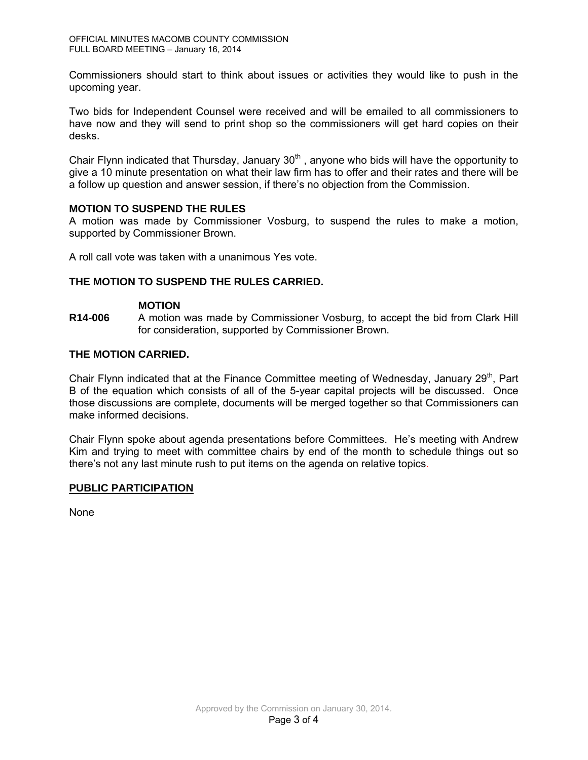Commissioners should start to think about issues or activities they would like to push in the upcoming year.

Two bids for Independent Counsel were received and will be emailed to all commissioners to have now and they will send to print shop so the commissioners will get hard copies on their desks.

Chair Flynn indicated that Thursday, January  $30<sup>th</sup>$ , anyone who bids will have the opportunity to give a 10 minute presentation on what their law firm has to offer and their rates and there will be a follow up question and answer session, if there's no objection from the Commission.

## **MOTION TO SUSPEND THE RULES**

A motion was made by Commissioner Vosburg, to suspend the rules to make a motion, supported by Commissioner Brown.

A roll call vote was taken with a unanimous Yes vote.

## **THE MOTION TO SUSPEND THE RULES CARRIED.**

### **MOTION**

**R14-006** A motion was made by Commissioner Vosburg, to accept the bid from Clark Hill for consideration, supported by Commissioner Brown.

### **THE MOTION CARRIED.**

Chair Flynn indicated that at the Finance Committee meeting of Wednesday, January  $29<sup>th</sup>$ , Part B of the equation which consists of all of the 5-year capital projects will be discussed. Once those discussions are complete, documents will be merged together so that Commissioners can make informed decisions.

Chair Flynn spoke about agenda presentations before Committees. He's meeting with Andrew Kim and trying to meet with committee chairs by end of the month to schedule things out so there's not any last minute rush to put items on the agenda on relative topics.

### **PUBLIC PARTICIPATION**

None